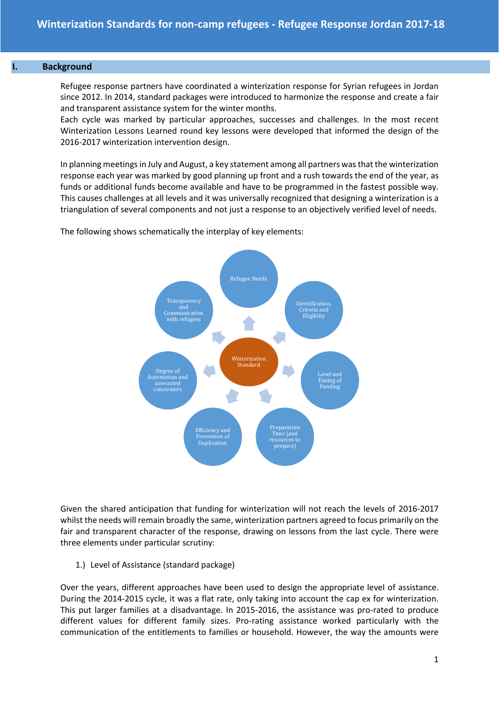#### **I. Background**

Refugee response partners have coordinated a winterization response for Syrian refugees in Jordan since 2012. In 2014, standard packages were introduced to harmonize the response and create a fair and transparent assistance system for the winter months.

Each cycle was marked by particular approaches, successes and challenges. In the most recent Winterization Lessons Learned round key lessons were developed that informed the design of the 2016-2017 winterization intervention design.

In planning meetings in July and August, a key statement among all partners was that the winterization response each year was marked by good planning up front and a rush towards the end of the year, as funds or additional funds become available and have to be programmed in the fastest possible way. This causes challenges at all levels and it was universally recognized that designing a winterization is a triangulation of several components and not just a response to an objectively verified level of needs.



The following shows schematically the interplay of key elements:

Given the shared anticipation that funding for winterization will not reach the levels of 2016-2017 whilst the needs will remain broadly the same, winterization partners agreed to focus primarily on the fair and transparent character of the response, drawing on lessons from the last cycle. There were three elements under particular scrutiny:

1.) Level of Assistance (standard package)

Over the years, different approaches have been used to design the appropriate level of assistance. During the 2014-2015 cycle, it was a flat rate, only taking into account the cap ex for winterization. This put larger families at a disadvantage. In 2015-2016, the assistance was pro-rated to produce different values for different family sizes. Pro-rating assistance worked particularly with the communication of the entitlements to families or household. However, the way the amounts were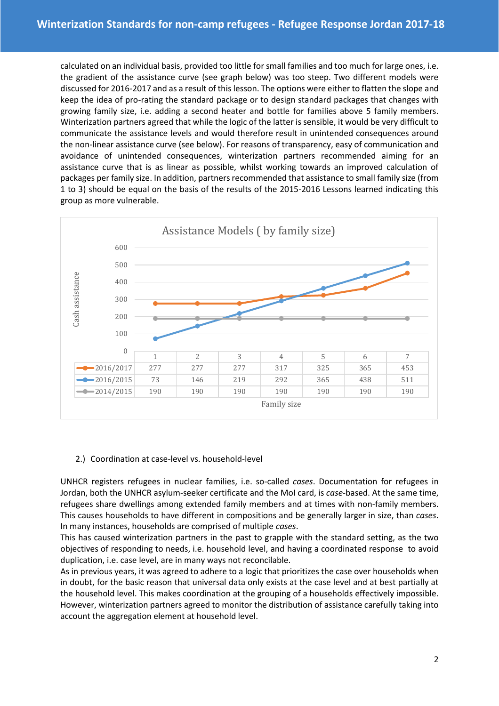calculated on an individual basis, provided too little for small families and too much for large ones, i.e. the gradient of the assistance curve (see graph below) was too steep. Two different models were discussed for 2016-2017 and as a result of this lesson. The options were either to flatten the slope and keep the idea of pro-rating the standard package or to design standard packages that changes with growing family size, i.e. adding a second heater and bottle for families above 5 family members. Winterization partners agreed that while the logic of the latter is sensible, it would be very difficult to communicate the assistance levels and would therefore result in unintended consequences around the non-linear assistance curve (see below). For reasons of transparency, easy of communication and avoidance of unintended consequences, winterization partners recommended aiming for an assistance curve that is as linear as possible, whilst working towards an improved calculation of packages per family size. In addition, partners recommended that assistance to small family size (from 1 to 3) should be equal on the basis of the results of the 2015-2016 Lessons learned indicating this group as more vulnerable.



# 2.) Coordination at case-level vs. household-level

UNHCR registers refugees in nuclear families, i.e. so-called *cases*. Documentation for refugees in Jordan, both the UNHCR asylum-seeker certificate and the MoI card, is *case*-based. At the same time, refugees share dwellings among extended family members and at times with non-family members. This causes households to have different in compositions and be generally larger in size, than *cases*. In many instances, households are comprised of multiple *cases*.

This has caused winterization partners in the past to grapple with the standard setting, as the two objectives of responding to needs, i.e. household level, and having a coordinated response to avoid duplication, i.e. case level, are in many ways not reconcilable.

As in previous years, it was agreed to adhere to a logic that prioritizes the case over households when in doubt, for the basic reason that universal data only exists at the case level and at best partially at the household level. This makes coordination at the grouping of a households effectively impossible. However, winterization partners agreed to monitor the distribution of assistance carefully taking into account the aggregation element at household level.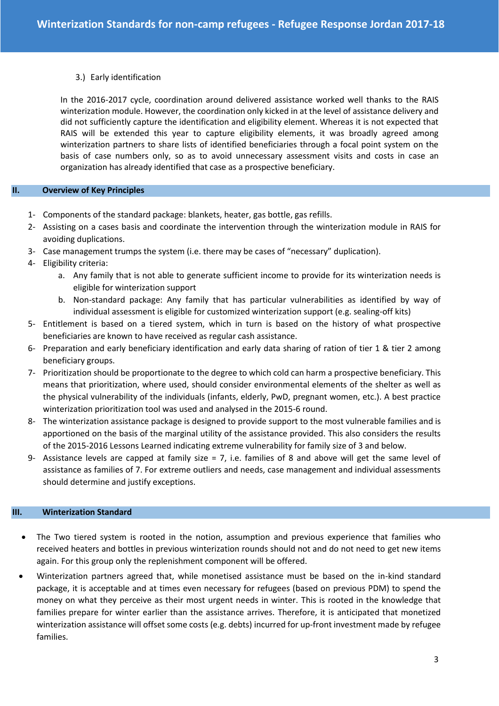### 3.) Early identification

In the 2016-2017 cycle, coordination around delivered assistance worked well thanks to the RAIS winterization module. However, the coordination only kicked in at the level of assistance delivery and did not sufficiently capture the identification and eligibility element. Whereas it is not expected that RAIS will be extended this year to capture eligibility elements, it was broadly agreed among winterization partners to share lists of identified beneficiaries through a focal point system on the basis of case numbers only, so as to avoid unnecessary assessment visits and costs in case an organization has already identified that case as a prospective beneficiary.

#### **II. Overview of Key Principles**

- 1- Components of the standard package: blankets, heater, gas bottle, gas refills.
- 2- Assisting on a cases basis and coordinate the intervention through the winterization module in RAIS for avoiding duplications.
- 3- Case management trumps the system (i.e. there may be cases of "necessary" duplication).
- 4- Eligibility criteria:
	- a. Any family that is not able to generate sufficient income to provide for its winterization needs is eligible for winterization support
	- b. Non-standard package: Any family that has particular vulnerabilities as identified by way of individual assessment is eligible for customized winterization support (e.g. sealing-off kits)
- 5- Entitlement is based on a tiered system, which in turn is based on the history of what prospective beneficiaries are known to have received as regular cash assistance.
- 6- Preparation and early beneficiary identification and early data sharing of ration of tier 1 & tier 2 among beneficiary groups.
- 7- Prioritization should be proportionate to the degree to which cold can harm a prospective beneficiary. This means that prioritization, where used, should consider environmental elements of the shelter as well as the physical vulnerability of the individuals (infants, elderly, PwD, pregnant women, etc.). A best practice winterization prioritization tool was used and analysed in the 2015-6 round.
- 8- The winterization assistance package is designed to provide support to the most vulnerable families and is apportioned on the basis of the marginal utility of the assistance provided. This also considers the results of the 2015-2016 Lessons Learned indicating extreme vulnerability for family size of 3 and below.
- 9- Assistance levels are capped at family size = 7, i.e. families of 8 and above will get the same level of assistance as families of 7. For extreme outliers and needs, case management and individual assessments should determine and justify exceptions.

#### **III. Winterization Standard**

- The Two tiered system is rooted in the notion, assumption and previous experience that families who received heaters and bottles in previous winterization rounds should not and do not need to get new items again. For this group only the replenishment component will be offered.
- Winterization partners agreed that, while monetised assistance must be based on the in-kind standard package, it is acceptable and at times even necessary for refugees (based on previous PDM) to spend the money on what they perceive as their most urgent needs in winter. This is rooted in the knowledge that families prepare for winter earlier than the assistance arrives. Therefore, it is anticipated that monetized winterization assistance will offset some costs (e.g. debts) incurred for up-front investment made by refugee families.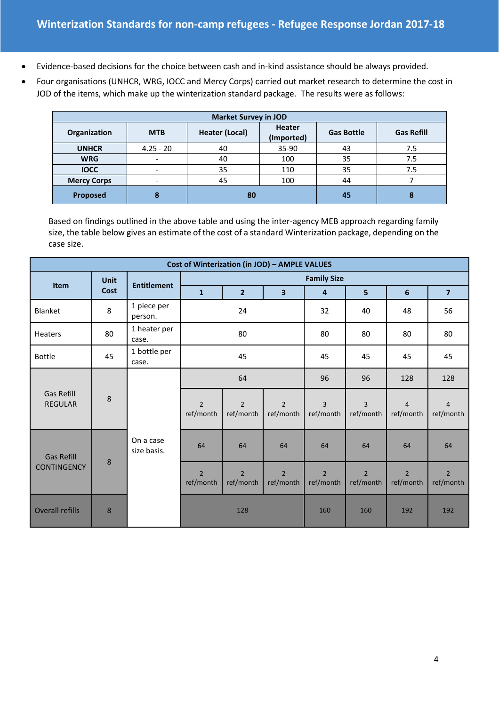- Evidence-based decisions for the choice between cash and in-kind assistance should be always provided.
- Four organisations (UNHCR, WRG, IOCC and Mercy Corps) carried out market research to determine the cost in JOD of the items, which make up the winterization standard package. The results were as follows:

| <b>Market Survey in JOD</b> |                          |                       |                             |                   |                   |  |  |
|-----------------------------|--------------------------|-----------------------|-----------------------------|-------------------|-------------------|--|--|
| Organization                | <b>MTB</b>               | <b>Heater (Local)</b> | <b>Heater</b><br>(Imported) | <b>Gas Bottle</b> | <b>Gas Refill</b> |  |  |
| <b>UNHCR</b>                | $4.25 - 20$              | 40                    | $35-90$                     | 43                | 7.5               |  |  |
| <b>WRG</b>                  |                          | 40                    | 100                         | 35                | 7.5               |  |  |
| <b>IOCC</b>                 | $\overline{\phantom{a}}$ | 35                    | 110                         | 35                | 7.5               |  |  |
| <b>Mercy Corps</b>          |                          | 45                    | 100                         | 44                |                   |  |  |
| Proposed                    | 8                        | 80                    |                             | 45                | 8                 |  |  |

Based on findings outlined in the above table and using the inter-agency MEB approach regarding family size, the table below gives an estimate of the cost of a standard Winterization package, depending on the case size.

| Cost of Winterization (in JOD) - AMPLE VALUES |                     |                          |                             |                             |                             |                             |                             |                             |                             |  |
|-----------------------------------------------|---------------------|--------------------------|-----------------------------|-----------------------------|-----------------------------|-----------------------------|-----------------------------|-----------------------------|-----------------------------|--|
| <b>Item</b>                                   | <b>Unit</b><br>Cost | <b>Entitlement</b>       | <b>Family Size</b>          |                             |                             |                             |                             |                             |                             |  |
|                                               |                     |                          | $\mathbf{1}$                | $\overline{2}$              | 3                           | $\overline{4}$              | 5                           | 6                           | $\overline{7}$              |  |
| Blanket                                       | 8                   | 1 piece per<br>person.   |                             | 24                          |                             | 32                          | 40                          | 48                          | 56                          |  |
| <b>Heaters</b>                                | 80                  | 1 heater per<br>case.    |                             | 80                          |                             | 80                          | 80                          | 80                          | 80                          |  |
| <b>Bottle</b>                                 | 45                  | 1 bottle per<br>case.    |                             | 45                          |                             | 45                          | 45                          | 45                          | 45                          |  |
| <b>Gas Refill</b><br><b>REGULAR</b>           | 8                   | On a case<br>size basis. | 64                          |                             |                             | 96                          | 96                          | 128                         | 128                         |  |
|                                               |                     |                          | $\overline{2}$<br>ref/month | $\overline{2}$<br>ref/month | $\overline{2}$<br>ref/month | $\overline{3}$<br>ref/month | $\overline{3}$<br>ref/month | $\overline{4}$<br>ref/month | $\overline{4}$<br>ref/month |  |
| <b>Gas Refill</b><br><b>CONTINGENCY</b>       | 8                   |                          | 64                          | 64                          | 64                          | 64                          | 64                          | 64                          | 64                          |  |
|                                               |                     |                          | $\overline{2}$<br>ref/month | $\overline{2}$<br>ref/month | $\overline{2}$<br>ref/month | $\overline{2}$<br>ref/month | $\overline{2}$<br>ref/month | $\overline{2}$<br>ref/month | $\overline{2}$<br>ref/month |  |
| <b>Overall refills</b>                        | 8                   |                          | 128                         |                             |                             | 160                         | 160                         | 192                         | 192                         |  |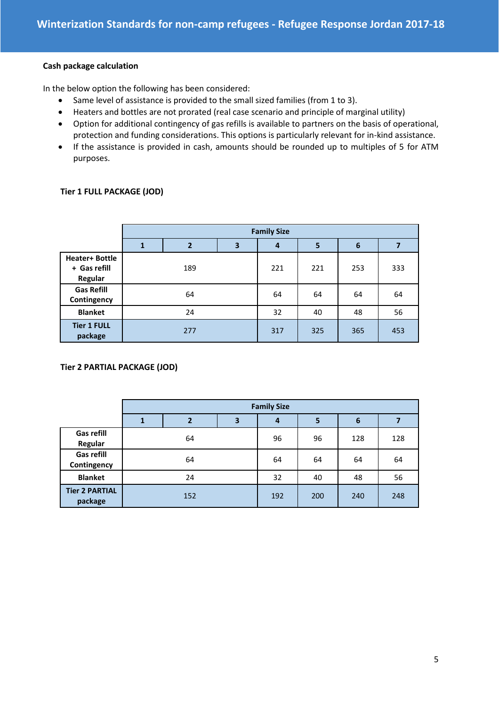#### **Cash package calculation**

In the below option the following has been considered:

- Same level of assistance is provided to the small sized families (from 1 to 3).
- Heaters and bottles are not prorated (real case scenario and principle of marginal utility)
- Option for additional contingency of gas refills is available to partners on the basis of operational, protection and funding considerations. This options is particularly relevant for in-kind assistance.
- If the assistance is provided in cash, amounts should be rounded up to multiples of 5 for ATM purposes.

## **Tier 1 FULL PACKAGE (JOD)**

|                                                  | <b>Family Size</b> |                |   |     |                         |     |     |
|--------------------------------------------------|--------------------|----------------|---|-----|-------------------------|-----|-----|
|                                                  | $\mathbf{1}$       | $\overline{2}$ | 3 | 4   | $\overline{\mathbf{5}}$ | 6   | 7   |
| <b>Heater+ Bottle</b><br>+ Gas refill<br>Regular |                    | 189            |   | 221 | 221                     | 253 | 333 |
| <b>Gas Refill</b><br>Contingency                 | 64                 |                |   | 64  | 64                      | 64  | 64  |
| <b>Blanket</b>                                   |                    | 24             |   |     | 40                      | 48  | 56  |
| <b>Tier 1 FULL</b><br>package                    | 277                |                |   | 317 | 325                     | 365 | 453 |

**Tier 2 PARTIAL PACKAGE (JOD)**

|                                  | <b>Family Size</b> |                |   |     |     |                 |     |
|----------------------------------|--------------------|----------------|---|-----|-----|-----------------|-----|
|                                  | 1                  | $\overline{2}$ | 3 | 4   | 5   | $6\phantom{1}6$ |     |
| Gas refill<br>Regular            |                    | 64             |   | 96  | 96  | 128             | 128 |
| <b>Gas refill</b><br>Contingency | 64                 |                |   | 64  | 64  | 64              | 64  |
| <b>Blanket</b>                   | 24                 |                |   | 32  | 40  | 48              | 56  |
| <b>Tier 2 PARTIAL</b><br>package | 152                |                |   | 192 | 200 | 240             | 248 |